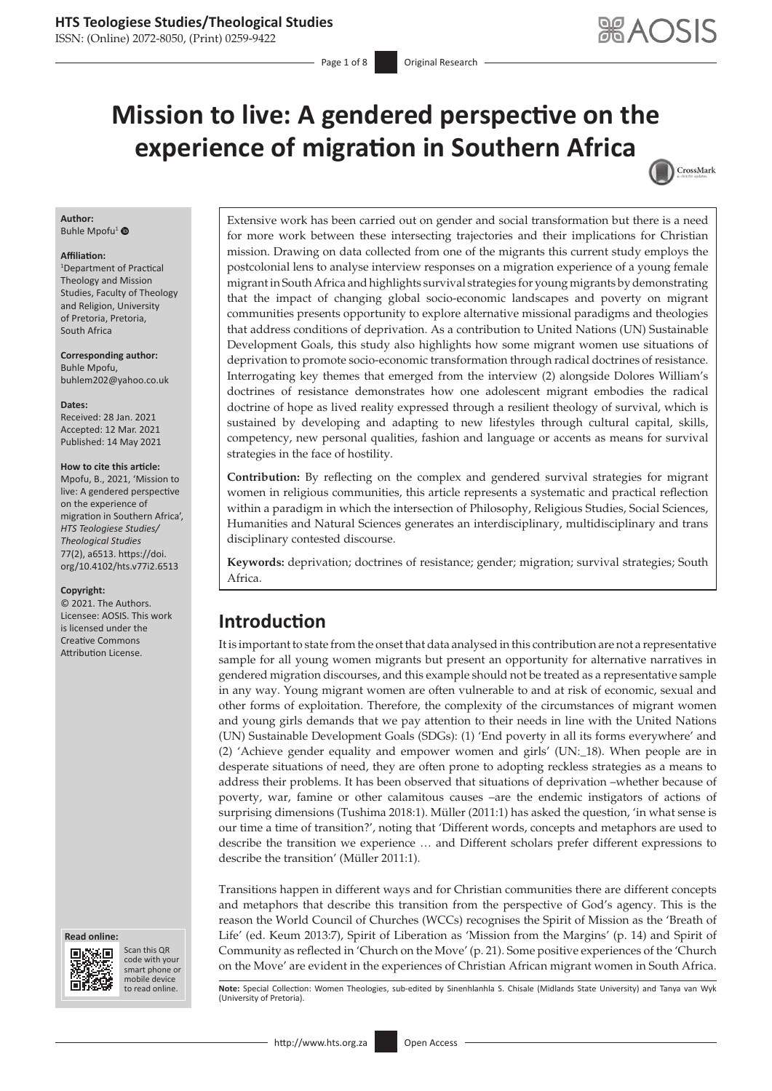ISSN: (Online) 2072-8050, (Print) 0259-9422

Page 1 of 8 **Original Research** 

CrossMark

# **Mission to live: A gendered perspective on the experience of migration in Southern Africa**

#### **Author:**

Buhle Mpofu<sup>[1](https://orcid.org/0000-0002-6833-0810)</sup> <sup>O</sup>

#### **Affiliation:**

1 Department of Practical Theology and Mission Studies, Faculty of Theology and Religion, University of Pretoria, Pretoria, South Africa

**Corresponding author:** Buhle Mpofu, [buhlem202@yahoo.co.uk](mailto:buhlem202@yahoo.co.uk)

**Dates:** Received: 28 Jan. 2021 Accepted: 12 Mar. 2021 Published: 14 May 2021

#### **How to cite this article:**

Mpofu, B., 2021, 'Mission to live: A gendered perspective on the experience of migration in Southern Africa', *HTS Teologiese Studies/ Theological Studies* 77(2), a6513. [https://doi.](https://doi.org/10.4102/hts.v77i2.6513) [org/10.4102/hts.v77i2.6513](https://doi.org/10.4102/hts.v77i2.6513)

#### **Copyright:**

© 2021. The Authors. Licensee: AOSIS. This work is licensed under the Creative Commons Attribution License.





Scan this QR code with your Scan this QR<br>code with your<br>smart phone or<br>mobile device mobile device to read online.

Extensive work has been carried out on gender and social transformation but there is a need for more work between these intersecting trajectories and their implications for Christian mission. Drawing on data collected from one of the migrants this current study employs the postcolonial lens to analyse interview responses on a migration experience of a young female migrant in South Africa and highlights survival strategies for young migrants by demonstrating that the impact of changing global socio-economic landscapes and poverty on migrant communities presents opportunity to explore alternative missional paradigms and theologies that address conditions of deprivation. As a contribution to United Nations (UN) Sustainable Development Goals, this study also highlights how some migrant women use situations of deprivation to promote socio-economic transformation through radical doctrines of resistance. Interrogating key themes that emerged from the interview (2) alongside Dolores William's doctrines of resistance demonstrates how one adolescent migrant embodies the radical doctrine of hope as lived reality expressed through a resilient theology of survival, which is sustained by developing and adapting to new lifestyles through cultural capital, skills, competency, new personal qualities, fashion and language or accents as means for survival strategies in the face of hostility.

**Contribution:** By reflecting on the complex and gendered survival strategies for migrant women in religious communities, this article represents a systematic and practical reflection within a paradigm in which the intersection of Philosophy, Religious Studies, Social Sciences, Humanities and Natural Sciences generates an interdisciplinary, multidisciplinary and trans disciplinary contested discourse.

**Keywords:** deprivation; doctrines of resistance; gender; migration; survival strategies; South Africa.

# **Introduction**

It is important to state from the onset that data analysed in this contribution are not a representative sample for all young women migrants but present an opportunity for alternative narratives in gendered migration discourses, and this example should not be treated as a representative sample in any way. Young migrant women are often vulnerable to and at risk of economic, sexual and other forms of exploitation. Therefore, the complexity of the circumstances of migrant women and young girls demands that we pay attention to their needs in line with the United Nations (UN) Sustainable Development Goals (SDGs): (1) 'End poverty in all its forms everywhere' and (2) 'Achieve gender equality and empower women and girls' (UN:\_18). When people are in desperate situations of need, they are often prone to adopting reckless strategies as a means to address their problems. It has been observed that situations of deprivation –whether because of poverty, war, famine or other calamitous causes –are the endemic instigators of actions of surprising dimensions (Tushima 2018:1). Müller (2011:1) has asked the question, 'in what sense is our time a time of transition?', noting that 'Different words, concepts and metaphors are used to describe the transition we experience … and Different scholars prefer different expressions to describe the transition' (Müller 2011:1).

Transitions happen in different ways and for Christian communities there are different concepts and metaphors that describe this transition from the perspective of God's agency. This is the reason the World Council of Churches (WCCs) recognises the Spirit of Mission as the 'Breath of Life' (ed. Keum 2013:7), Spirit of Liberation as 'Mission from the Margins' (p. 14) and Spirit of Community as reflected in 'Church on the Move' (p. 21). Some positive experiences of the 'Church on the Move' are evident in the experiences of Christian African migrant women in South Africa.

Note: Special Collection: Women Theologies, sub-edited by Sinenhlanhla S. Chisale (Midlands State University) and Tanya van Wyk (University of Pretoria).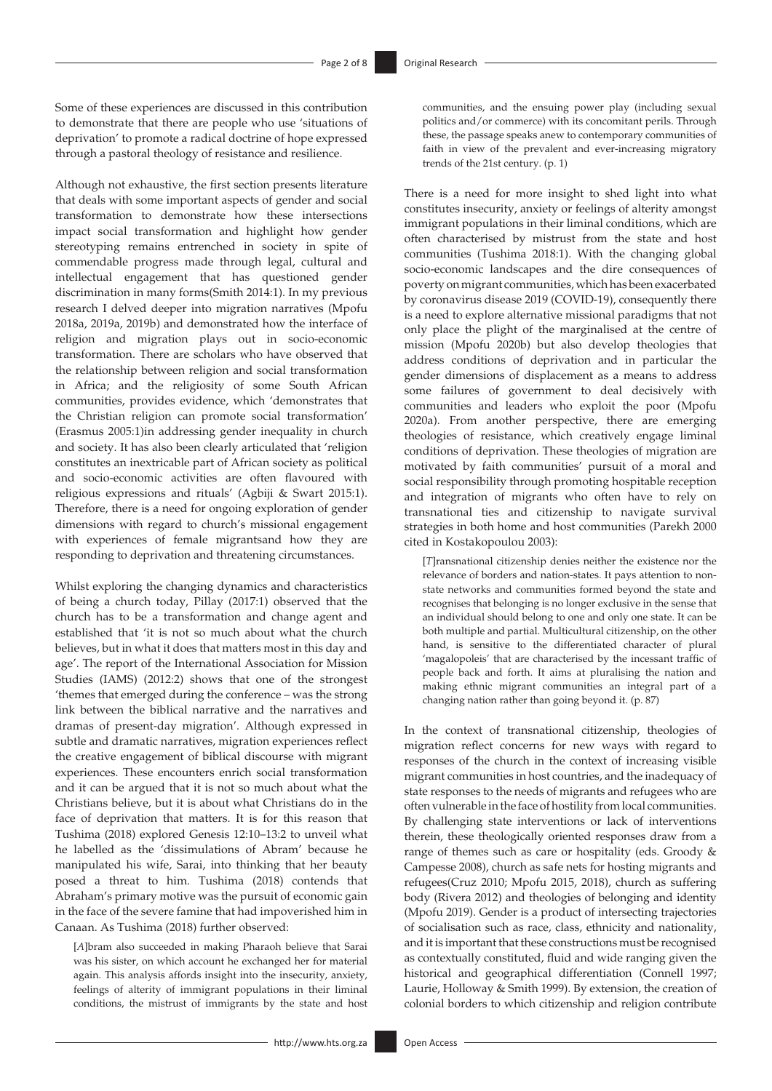Some of these experiences are discussed in this contribution to demonstrate that there are people who use 'situations of deprivation' to promote a radical doctrine of hope expressed through a pastoral theology of resistance and resilience.

Although not exhaustive, the first section presents literature that deals with some important aspects of gender and social transformation to demonstrate how these intersections impact social transformation and highlight how gender stereotyping remains entrenched in society in spite of commendable progress made through legal, cultural and intellectual engagement that has questioned gender discrimination in many forms(Smith 2014:1). In my previous research I delved deeper into migration narratives (Mpofu 2018a, 2019a, 2019b) and demonstrated how the interface of religion and migration plays out in socio-economic transformation. There are scholars who have observed that the relationship between religion and social transformation in Africa; and the religiosity of some South African communities, provides evidence, which 'demonstrates that the Christian religion can promote social transformation' (Erasmus 2005:1)in addressing gender inequality in church and society. It has also been clearly articulated that 'religion constitutes an inextricable part of African society as political and socio-economic activities are often flavoured with religious expressions and rituals' (Agbiji & Swart 2015:1). Therefore, there is a need for ongoing exploration of gender dimensions with regard to church's missional engagement with experiences of female migrantsand how they are responding to deprivation and threatening circumstances.

Whilst exploring the changing dynamics and characteristics of being a church today, Pillay (2017:1) observed that the church has to be a transformation and change agent and established that 'it is not so much about what the church believes, but in what it does that matters most in this day and age'. The report of the International Association for Mission Studies (IAMS) (2012:2) shows that one of the strongest 'themes that emerged during the conference – was the strong link between the biblical narrative and the narratives and dramas of present-day migration'. Although expressed in subtle and dramatic narratives, migration experiences reflect the creative engagement of biblical discourse with migrant experiences. These encounters enrich social transformation and it can be argued that it is not so much about what the Christians believe, but it is about what Christians do in the face of deprivation that matters. It is for this reason that Tushima (2018) explored Genesis 12:10–13:2 to unveil what he labelled as the 'dissimulations of Abram' because he manipulated his wife, Sarai, into thinking that her beauty posed a threat to him. Tushima (2018) contends that Abraham's primary motive was the pursuit of economic gain in the face of the severe famine that had impoverished him in Canaan. As Tushima (2018) further observed:

[*A*]bram also succeeded in making Pharaoh believe that Sarai was his sister, on which account he exchanged her for material again. This analysis affords insight into the insecurity, anxiety, feelings of alterity of immigrant populations in their liminal conditions, the mistrust of immigrants by the state and host

communities, and the ensuing power play (including sexual politics and/or commerce) with its concomitant perils. Through these, the passage speaks anew to contemporary communities of faith in view of the prevalent and ever-increasing migratory trends of the 21st century. (p. 1)

There is a need for more insight to shed light into what constitutes insecurity, anxiety or feelings of alterity amongst immigrant populations in their liminal conditions, which are often characterised by mistrust from the state and host communities (Tushima 2018:1). With the changing global socio-economic landscapes and the dire consequences of poverty on migrant communities, which has been exacerbated by coronavirus disease 2019 (COVID-19), consequently there is a need to explore alternative missional paradigms that not only place the plight of the marginalised at the centre of mission (Mpofu 2020b) but also develop theologies that address conditions of deprivation and in particular the gender dimensions of displacement as a means to address some failures of government to deal decisively with communities and leaders who exploit the poor (Mpofu 2020a). From another perspective, there are emerging theologies of resistance, which creatively engage liminal conditions of deprivation. These theologies of migration are motivated by faith communities' pursuit of a moral and social responsibility through promoting hospitable reception and integration of migrants who often have to rely on transnational ties and citizenship to navigate survival strategies in both home and host communities (Parekh 2000 cited in Kostakopoulou 2003):

[*T*]ransnational citizenship denies neither the existence nor the relevance of borders and nation-states. It pays attention to nonstate networks and communities formed beyond the state and recognises that belonging is no longer exclusive in the sense that an individual should belong to one and only one state. It can be both multiple and partial. Multicultural citizenship, on the other hand, is sensitive to the differentiated character of plural 'magalopoleis' that are characterised by the incessant traffic of people back and forth. It aims at pluralising the nation and making ethnic migrant communities an integral part of a changing nation rather than going beyond it. (p. 87)

In the context of transnational citizenship, theologies of migration reflect concerns for new ways with regard to responses of the church in the context of increasing visible migrant communities in host countries, and the inadequacy of state responses to the needs of migrants and refugees who are often vulnerable in the face of hostility from local communities. By challenging state interventions or lack of interventions therein, these theologically oriented responses draw from a range of themes such as care or hospitality (eds. Groody & Campesse 2008), church as safe nets for hosting migrants and refugees(Cruz 2010; Mpofu 2015, 2018), church as suffering body (Rivera 2012) and theologies of belonging and identity (Mpofu 2019). Gender is a product of intersecting trajectories of socialisation such as race, class, ethnicity and nationality, and it is important that these constructions must be recognised as contextually constituted, fluid and wide ranging given the historical and geographical differentiation (Connell 1997; Laurie, Holloway & Smith 1999). By extension, the creation of colonial borders to which citizenship and religion contribute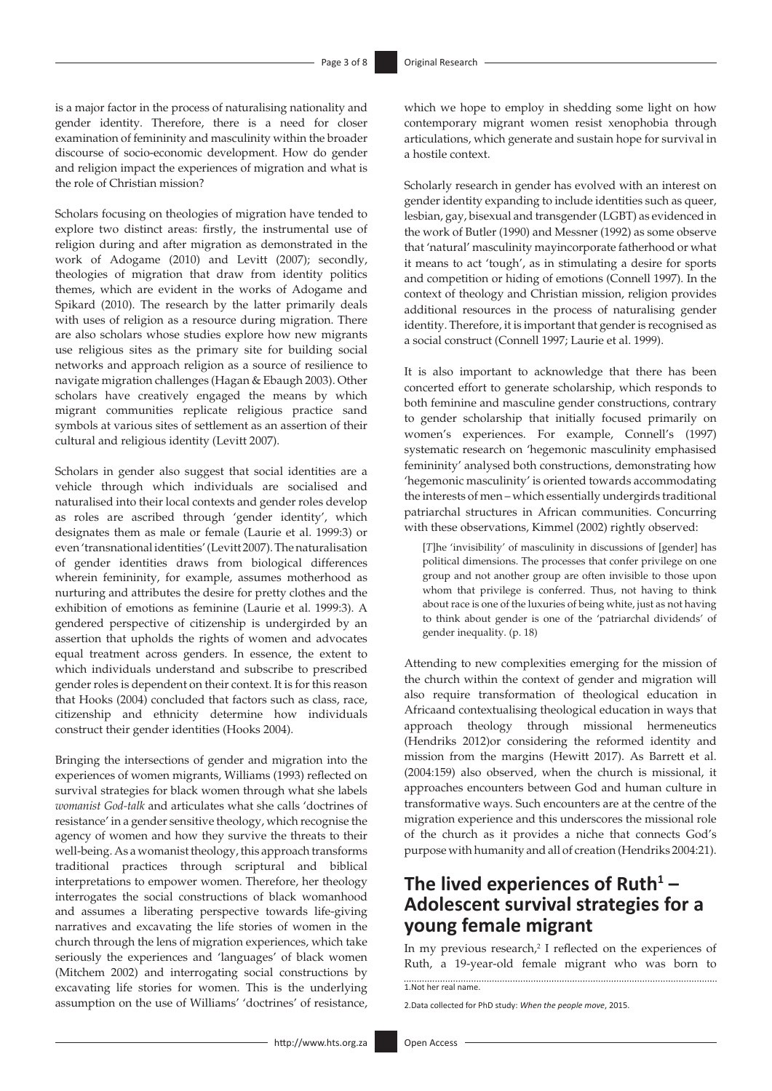is a major factor in the process of naturalising nationality and gender identity. Therefore, there is a need for closer examination of femininity and masculinity within the broader discourse of socio-economic development. How do gender and religion impact the experiences of migration and what is the role of Christian mission?

Scholars focusing on theologies of migration have tended to explore two distinct areas: firstly, the instrumental use of religion during and after migration as demonstrated in the work of Adogame (2010) and Levitt (2007); secondly, theologies of migration that draw from identity politics themes, which are evident in the works of Adogame and Spikard (2010). The research by the latter primarily deals with uses of religion as a resource during migration. There are also scholars whose studies explore how new migrants use religious sites as the primary site for building social networks and approach religion as a source of resilience to navigate migration challenges (Hagan & Ebaugh 2003). Other scholars have creatively engaged the means by which migrant communities replicate religious practice sand symbols at various sites of settlement as an assertion of their cultural and religious identity (Levitt 2007).

Scholars in gender also suggest that social identities are a vehicle through which individuals are socialised and naturalised into their local contexts and gender roles develop as roles are ascribed through 'gender identity', which designates them as male or female (Laurie et al. 1999:3) or even 'transnational identities' (Levitt 2007). The naturalisation of gender identities draws from biological differences wherein femininity, for example, assumes motherhood as nurturing and attributes the desire for pretty clothes and the exhibition of emotions as feminine (Laurie et al. 1999:3). A gendered perspective of citizenship is undergirded by an assertion that upholds the rights of women and advocates equal treatment across genders. In essence, the extent to which individuals understand and subscribe to prescribed gender roles is dependent on their context. It is for this reason that Hooks (2004) concluded that factors such as class, race, citizenship and ethnicity determine how individuals construct their gender identities (Hooks 2004).

Bringing the intersections of gender and migration into the experiences of women migrants, Williams (1993) reflected on survival strategies for black women through what she labels *womanist God-talk* and articulates what she calls 'doctrines of resistance' in a gender sensitive theology, which recognise the agency of women and how they survive the threats to their well-being. As a womanist theology, this approach transforms traditional practices through scriptural and biblical interpretations to empower women. Therefore, her theology interrogates the social constructions of black womanhood and assumes a liberating perspective towards life-giving narratives and excavating the life stories of women in the church through the lens of migration experiences, which take seriously the experiences and 'languages' of black women (Mitchem 2002) and interrogating social constructions by excavating life stories for women. This is the underlying assumption on the use of Williams' 'doctrines' of resistance,

which we hope to employ in shedding some light on how contemporary migrant women resist xenophobia through articulations, which generate and sustain hope for survival in a hostile context.

Scholarly research in gender has evolved with an interest on gender identity expanding to include identities such as queer, lesbian, gay, bisexual and transgender (LGBT) as evidenced in the work of Butler (1990) and Messner (1992) as some observe that 'natural' masculinity mayincorporate fatherhood or what it means to act 'tough', as in stimulating a desire for sports and competition or hiding of emotions (Connell 1997). In the context of theology and Christian mission, religion provides additional resources in the process of naturalising gender identity. Therefore, it is important that gender is recognised as a social construct (Connell 1997; Laurie et al. 1999).

It is also important to acknowledge that there has been concerted effort to generate scholarship, which responds to both feminine and masculine gender constructions, contrary to gender scholarship that initially focused primarily on women's experiences. For example, Connell's (1997) systematic research on 'hegemonic masculinity emphasised femininity' analysed both constructions, demonstrating how 'hegemonic masculinity' is oriented towards accommodating the interests of men – which essentially undergirds traditional patriarchal structures in African communities. Concurring with these observations, Kimmel (2002) rightly observed:

[*T*]he 'invisibility' of masculinity in discussions of [gender] has political dimensions. The processes that confer privilege on one group and not another group are often invisible to those upon whom that privilege is conferred. Thus, not having to think about race is one of the luxuries of being white, just as not having to think about gender is one of the 'patriarchal dividends' of gender inequality. (p. 18)

Attending to new complexities emerging for the mission of the church within the context of gender and migration will also require transformation of theological education in Africaand contextualising theological education in ways that approach theology through missional hermeneutics (Hendriks 2012)or considering the reformed identity and mission from the margins (Hewitt 2017). As Barrett et al. (2004:159) also observed, when the church is missional, it approaches encounters between God and human culture in transformative ways. Such encounters are at the centre of the migration experience and this underscores the missional role of the church as it provides a niche that connects God's purpose with humanity and all of creation (Hendriks 2004:21).

# **The lived experiences of Ruth<sup>1</sup> – Adolescent survival strategies for a young female migrant**

In my previous research,<sup>2</sup> I reflected on the experiences of Ruth, a 19-year-old female migrant who was born to  $\overline{1}$ . Not her real name.

2.Data collected for PhD study: *When the people move*, 2015.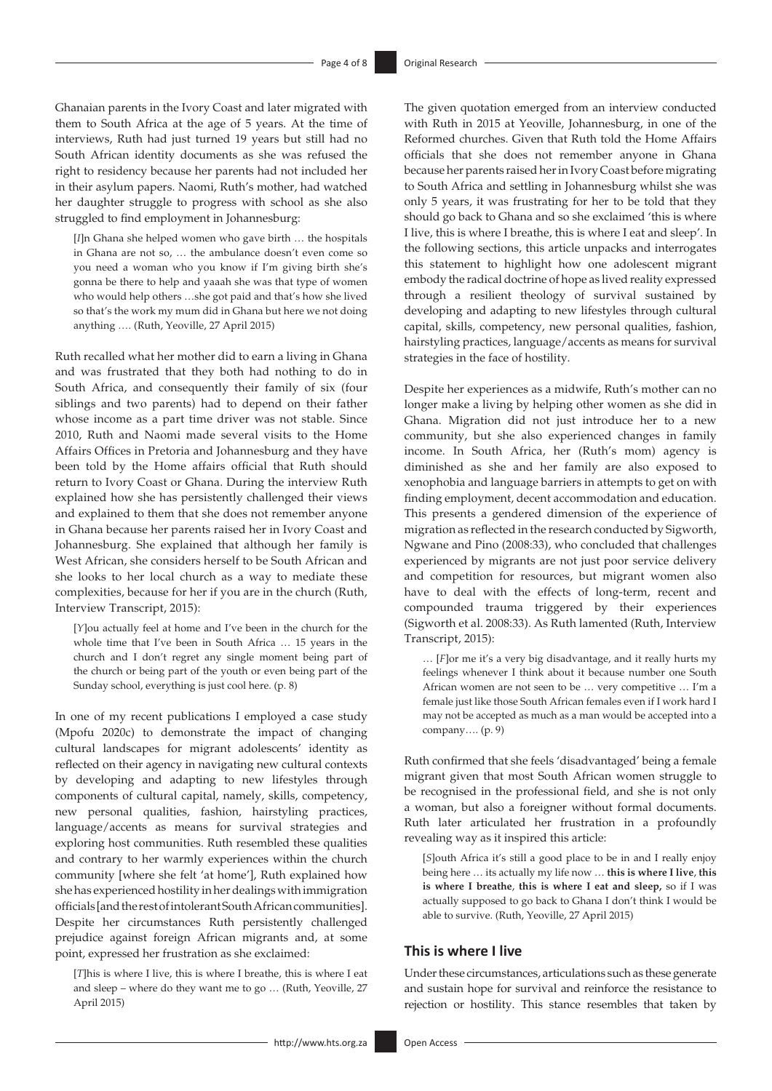Ghanaian parents in the Ivory Coast and later migrated with them to South Africa at the age of 5 years. At the time of interviews, Ruth had just turned 19 years but still had no South African identity documents as she was refused the right to residency because her parents had not included her in their asylum papers. Naomi, Ruth's mother, had watched her daughter struggle to progress with school as she also struggled to find employment in Johannesburg:

[*I*]n Ghana she helped women who gave birth … the hospitals in Ghana are not so, … the ambulance doesn't even come so you need a woman who you know if I'm giving birth she's gonna be there to help and yaaah she was that type of women who would help others …she got paid and that's how she lived so that's the work my mum did in Ghana but here we not doing anything *….* (Ruth, Yeoville, 27 April 2015)

Ruth recalled what her mother did to earn a living in Ghana and was frustrated that they both had nothing to do in South Africa, and consequently their family of six (four siblings and two parents) had to depend on their father whose income as a part time driver was not stable. Since 2010, Ruth and Naomi made several visits to the Home Affairs Offices in Pretoria and Johannesburg and they have been told by the Home affairs official that Ruth should return to Ivory Coast or Ghana. During the interview Ruth explained how she has persistently challenged their views and explained to them that she does not remember anyone in Ghana because her parents raised her in Ivory Coast and Johannesburg. She explained that although her family is West African, she considers herself to be South African and she looks to her local church as a way to mediate these complexities, because for her if you are in the church (Ruth, Interview Transcript, 2015):

[*Y*]ou actually feel at home and I've been in the church for the whole time that I've been in South Africa … 15 years in the church and I don't regret any single moment being part of the church or being part of the youth or even being part of the Sunday school, everything is just cool here. (p. 8)

In one of my recent publications I employed a case study (Mpofu 2020c) to demonstrate the impact of changing cultural landscapes for migrant adolescents' identity as reflected on their agency in navigating new cultural contexts by developing and adapting to new lifestyles through components of cultural capital, namely, skills, competency, new personal qualities, fashion, hairstyling practices, language/accents as means for survival strategies and exploring host communities. Ruth resembled these qualities and contrary to her warmly experiences within the church community [where she felt 'at home'], Ruth explained how she has experienced hostility in her dealings with immigration officials [and the rest of intolerant South African communities]. Despite her circumstances Ruth persistently challenged prejudice against foreign African migrants and, at some point, expressed her frustration as she exclaimed:

[*T*]his is where I live, this is where I breathe, this is where I eat and sleep – where do they want me to go … (Ruth, Yeoville, 27 April 2015)

The given quotation emerged from an interview conducted with Ruth in 2015 at Yeoville, Johannesburg, in one of the Reformed churches. Given that Ruth told the Home Affairs officials that she does not remember anyone in Ghana because her parents raised her in Ivory Coast before migrating to South Africa and settling in Johannesburg whilst she was only 5 years, it was frustrating for her to be told that they should go back to Ghana and so she exclaimed 'this is where I live, this is where I breathe, this is where I eat and sleep'. In the following sections, this article unpacks and interrogates this statement to highlight how one adolescent migrant embody the radical doctrine of hope as lived reality expressed through a resilient theology of survival sustained by developing and adapting to new lifestyles through cultural capital, skills, competency, new personal qualities, fashion, hairstyling practices, language/accents as means for survival strategies in the face of hostility.

Despite her experiences as a midwife, Ruth's mother can no longer make a living by helping other women as she did in Ghana. Migration did not just introduce her to a new community, but she also experienced changes in family income. In South Africa, her (Ruth's mom) agency is diminished as she and her family are also exposed to xenophobia and language barriers in attempts to get on with finding employment, decent accommodation and education. This presents a gendered dimension of the experience of migration as reflected in the research conducted by Sigworth, Ngwane and Pino (2008:33), who concluded that challenges experienced by migrants are not just poor service delivery and competition for resources, but migrant women also have to deal with the effects of long-term, recent and compounded trauma triggered by their experiences (Sigworth et al. 2008:33). As Ruth lamented (Ruth, Interview Transcript, 2015):

… [*F*]or me it's a very big disadvantage, and it really hurts my feelings whenever I think about it because number one South African women are not seen to be … very competitive … I'm a female just like those South African females even if I work hard I may not be accepted as much as a man would be accepted into a company…. (p. 9)

Ruth confirmed that she feels 'disadvantaged' being a female migrant given that most South African women struggle to be recognised in the professional field, and she is not only a woman, but also a foreigner without formal documents. Ruth later articulated her frustration in a profoundly revealing way as it inspired this article:

[*S*]outh Africa it's still a good place to be in and I really enjoy being here … its actually my life now … **this is where I live**, **this is where I breathe**, **this is where I eat and sleep,** so if I was actually supposed to go back to Ghana I don't think I would be able to survive. (Ruth, Yeoville, 27 April 2015)

### **This is where I live**

Under these circumstances, articulations such as these generate and sustain hope for survival and reinforce the resistance to rejection or hostility. This stance resembles that taken by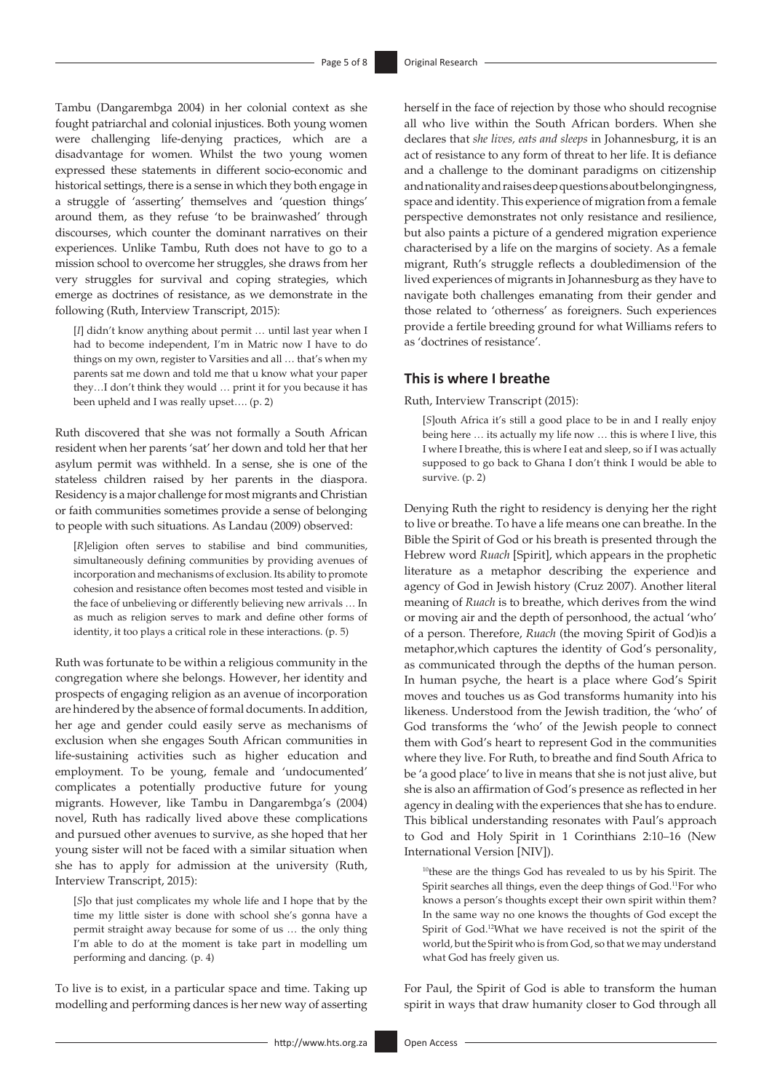Tambu (Dangarembga 2004) in her colonial context as she fought patriarchal and colonial injustices. Both young women were challenging life-denying practices, which are a disadvantage for women. Whilst the two young women expressed these statements in different socio-economic and historical settings, there is a sense in which they both engage in a struggle of 'asserting' themselves and 'question things' around them, as they refuse 'to be brainwashed' through discourses, which counter the dominant narratives on their experiences. Unlike Tambu, Ruth does not have to go to a mission school to overcome her struggles, she draws from her very struggles for survival and coping strategies, which emerge as doctrines of resistance, as we demonstrate in the following (Ruth, Interview Transcript, 2015):

[*I*] didn't know anything about permit … until last year when I had to become independent, I'm in Matric now I have to do things on my own, register to Varsities and all … that's when my parents sat me down and told me that u know what your paper they…I don't think they would … print it for you because it has been upheld and I was really upset…. (p. 2)

Ruth discovered that she was not formally a South African resident when her parents 'sat' her down and told her that her asylum permit was withheld. In a sense, she is one of the stateless children raised by her parents in the diaspora. Residency is a major challenge for most migrants and Christian or faith communities sometimes provide a sense of belonging to people with such situations. As Landau (2009) observed:

[*R*]eligion often serves to stabilise and bind communities, simultaneously defining communities by providing avenues of incorporation and mechanisms of exclusion. Its ability to promote cohesion and resistance often becomes most tested and visible in the face of unbelieving or differently believing new arrivals … In as much as religion serves to mark and define other forms of identity, it too plays a critical role in these interactions. (p. 5)

Ruth was fortunate to be within a religious community in the congregation where she belongs. However, her identity and prospects of engaging religion as an avenue of incorporation are hindered by the absence of formal documents. In addition, her age and gender could easily serve as mechanisms of exclusion when she engages South African communities in life-sustaining activities such as higher education and employment. To be young, female and 'undocumented' complicates a potentially productive future for young migrants. However, like Tambu in Dangarembga's (2004) novel, Ruth has radically lived above these complications and pursued other avenues to survive, as she hoped that her young sister will not be faced with a similar situation when she has to apply for admission at the university (Ruth, Interview Transcript, 2015):

[*S*]o that just complicates my whole life and I hope that by the time my little sister is done with school she's gonna have a permit straight away because for some of us … the only thing I'm able to do at the moment is take part in modelling um performing and dancing*.* (p. 4)

To live is to exist, in a particular space and time. Taking up modelling and performing dances is her new way of asserting herself in the face of rejection by those who should recognise all who live within the South African borders. When she declares that *she lives, eats and sleeps* in Johannesburg, it is an act of resistance to any form of threat to her life. It is defiance and a challenge to the dominant paradigms on citizenship and nationality and raises deep questions about belongingness, space and identity. This experience of migration from a female perspective demonstrates not only resistance and resilience, but also paints a picture of a gendered migration experience characterised by a life on the margins of society. As a female migrant, Ruth's struggle reflects a doubledimension of the lived experiences of migrants in Johannesburg as they have to navigate both challenges emanating from their gender and those related to 'otherness' as foreigners. Such experiences provide a fertile breeding ground for what Williams refers to as 'doctrines of resistance'.

### **This is where I breathe**

Ruth, Interview Transcript (2015):

[*S*]outh Africa it's still a good place to be in and I really enjoy being here … its actually my life now … this is where I live, this I where I breathe, this is where I eat and sleep, so if I was actually supposed to go back to Ghana I don't think I would be able to survive. (p. 2)

Denying Ruth the right to residency is denying her the right to live or breathe. To have a life means one can breathe. In the Bible the Spirit of God or his breath is presented through the Hebrew word *Ruach* [Spirit], which appears in the prophetic literature as a metaphor describing the experience and agency of God in Jewish history (Cruz 2007). Another literal meaning of *Ruach* is to breathe, which derives from the wind or moving air and the depth of personhood, the actual 'who' of a person. Therefore, *Ruach* (the moving Spirit of God)is a metaphor,which captures the identity of God's personality, as communicated through the depths of the human person. In human psyche, the heart is a place where God's Spirit moves and touches us as God transforms humanity into his likeness. Understood from the Jewish tradition, the 'who' of God transforms the 'who' of the Jewish people to connect them with God's heart to represent God in the communities where they live. For Ruth, to breathe and find South Africa to be 'a good place' to live in means that she is not just alive, but she is also an affirmation of God's presence as reflected in her agency in dealing with the experiences that she has to endure. This biblical understanding resonates with Paul's approach to God and Holy Spirit in 1 Corinthians 2:10–16 (New International Version [NIV]).

<sup>10</sup>these are the things God has revealed to us by his Spirit. The Spirit searches all things, even the deep things of God.11For who knows a person's thoughts except their own spirit within them? In the same way no one knows the thoughts of God except the Spirit of God.12What we have received is not the spirit of the world, but the Spirit who is from God, so that we may understand what God has freely given us.

For Paul, the Spirit of God is able to transform the human spirit in ways that draw humanity closer to God through all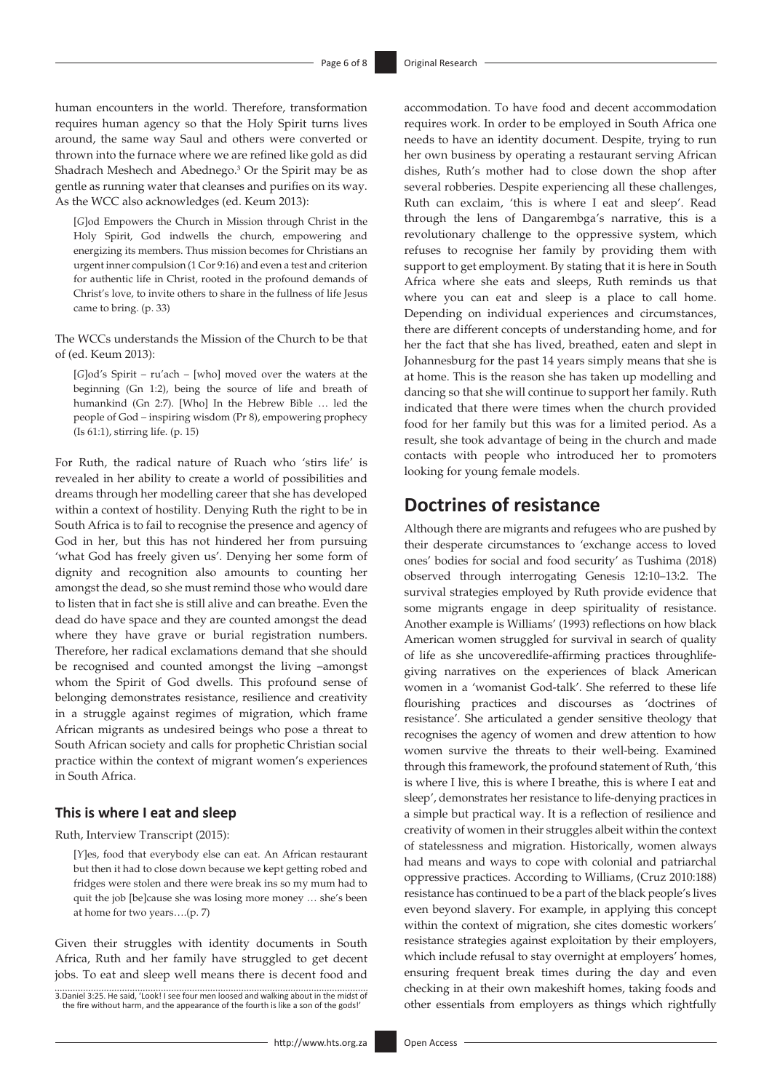human encounters in the world. Therefore, transformation requires human agency so that the Holy Spirit turns lives around, the same way Saul and others were converted or thrown into the furnace where we are refined like gold as did Shadrach Meshech and Abednego.<sup>3</sup> Or the Spirit may be as gentle as running water that cleanses and purifies on its way. As the WCC also acknowledges (ed. Keum 2013):

[*G*]od Empowers the Church in Mission through Christ in the Holy Spirit, God indwells the church, empowering and energizing its members. Thus mission becomes for Christians an urgent inner compulsion (1 Cor 9:16) and even a test and criterion for authentic life in Christ, rooted in the profound demands of Christ's love, to invite others to share in the fullness of life Jesus came to bring. (p. 33)

The WCCs understands the Mission of the Church to be that of (ed. Keum 2013):

[*G*]od's Spirit – ru'ach – [who] moved over the waters at the beginning (Gn 1:2), being the source of life and breath of humankind (Gn 2:7). [Who] In the Hebrew Bible … led the people of God – inspiring wisdom (Pr 8), empowering prophecy (Is 61:1), stirring life. (p. 15)

For Ruth, the radical nature of Ruach who 'stirs life' is revealed in her ability to create a world of possibilities and dreams through her modelling career that she has developed within a context of hostility. Denying Ruth the right to be in South Africa is to fail to recognise the presence and agency of God in her, but this has not hindered her from pursuing 'what God has freely given us'. Denying her some form of dignity and recognition also amounts to counting her amongst the dead, so she must remind those who would dare to listen that in fact she is still alive and can breathe. Even the dead do have space and they are counted amongst the dead where they have grave or burial registration numbers. Therefore, her radical exclamations demand that she should be recognised and counted amongst the living –amongst whom the Spirit of God dwells. This profound sense of belonging demonstrates resistance, resilience and creativity in a struggle against regimes of migration, which frame African migrants as undesired beings who pose a threat to South African society and calls for prophetic Christian social practice within the context of migrant women's experiences in South Africa.

### **This is where I eat and sleep**

Ruth, Interview Transcript (2015):

[*Y*]es, food that everybody else can eat. An African restaurant but then it had to close down because we kept getting robed and fridges were stolen and there were break ins so my mum had to quit the job [be]cause she was losing more money … she's been at home for two years….(p. 7)

Given their struggles with identity documents in South Africa, Ruth and her family have struggled to get decent jobs. To eat and sleep well means there is decent food and

3.Daniel 3:25. He said, 'Look! I see four men loosed and walking about in the midst of the fire without harm, and the appearance of the fourth is like a son of the gods!'

accommodation. To have food and decent accommodation requires work. In order to be employed in South Africa one needs to have an identity document. Despite, trying to run her own business by operating a restaurant serving African dishes, Ruth's mother had to close down the shop after several robberies. Despite experiencing all these challenges, Ruth can exclaim, 'this is where I eat and sleep'. Read through the lens of Dangarembga's narrative, this is a revolutionary challenge to the oppressive system, which refuses to recognise her family by providing them with support to get employment. By stating that it is here in South Africa where she eats and sleeps, Ruth reminds us that where you can eat and sleep is a place to call home. Depending on individual experiences and circumstances, there are different concepts of understanding home, and for her the fact that she has lived, breathed, eaten and slept in Johannesburg for the past 14 years simply means that she is at home. This is the reason she has taken up modelling and dancing so that she will continue to support her family. Ruth indicated that there were times when the church provided food for her family but this was for a limited period. As a result, she took advantage of being in the church and made contacts with people who introduced her to promoters looking for young female models.

## **Doctrines of resistance**

Although there are migrants and refugees who are pushed by their desperate circumstances to 'exchange access to loved ones' bodies for social and food security' as Tushima (2018) observed through interrogating Genesis 12:10–13:2. The survival strategies employed by Ruth provide evidence that some migrants engage in deep spirituality of resistance. Another example is Williams' (1993) reflections on how black American women struggled for survival in search of quality of life as she uncoveredlife-affirming practices throughlifegiving narratives on the experiences of black American women in a 'womanist God-talk'. She referred to these life flourishing practices and discourses as 'doctrines of resistance'. She articulated a gender sensitive theology that recognises the agency of women and drew attention to how women survive the threats to their well-being. Examined through this framework, the profound statement of Ruth, 'this is where I live, this is where I breathe, this is where I eat and sleep', demonstrates her resistance to life-denying practices in a simple but practical way. It is a reflection of resilience and creativity of women in their struggles albeit within the context of statelessness and migration. Historically, women always had means and ways to cope with colonial and patriarchal oppressive practices. According to Williams, (Cruz 2010:188) resistance has continued to be a part of the black people's lives even beyond slavery. For example, in applying this concept within the context of migration, she cites domestic workers' resistance strategies against exploitation by their employers, which include refusal to stay overnight at employers' homes, ensuring frequent break times during the day and even checking in at their own makeshift homes, taking foods and other essentials from employers as things which rightfully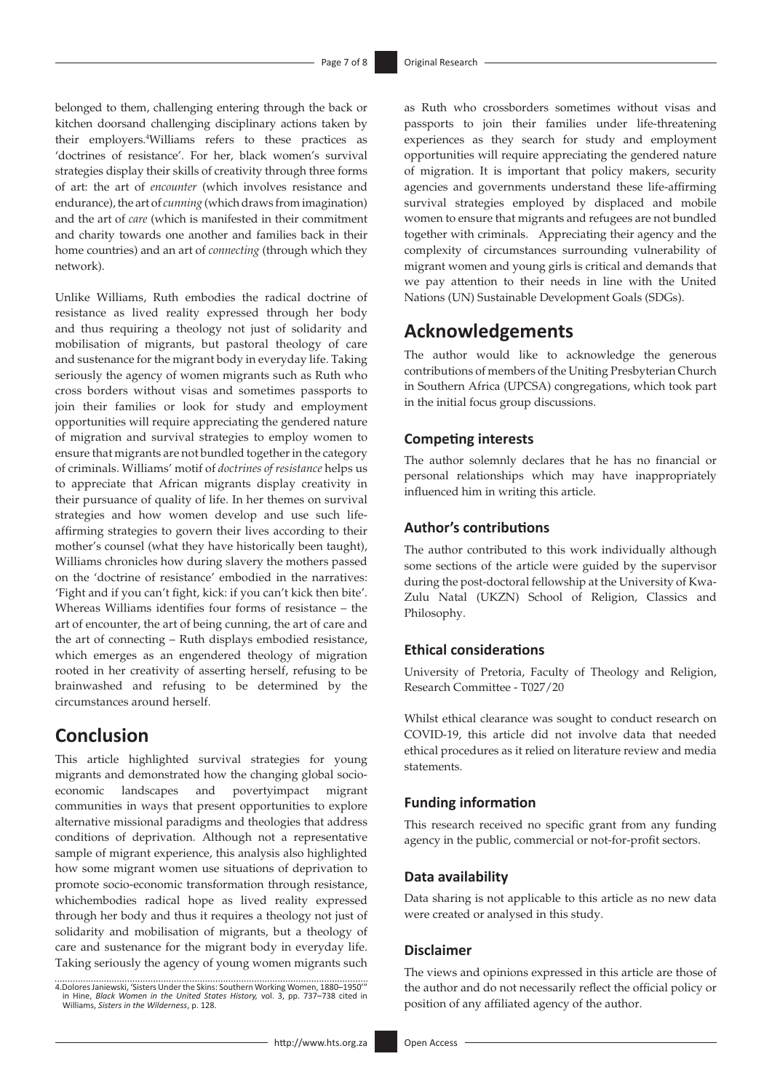belonged to them, challenging entering through the back or kitchen doorsand challenging disciplinary actions taken by their employers.4 Williams refers to these practices as 'doctrines of resistance'. For her, black women's survival strategies display their skills of creativity through three forms of art: the art of *encounter* (which involves resistance and endurance), the art of *cunning* (which draws from imagination) and the art of *care* (which is manifested in their commitment and charity towards one another and families back in their home countries) and an art of *connecting* (through which they network).

Unlike Williams, Ruth embodies the radical doctrine of resistance as lived reality expressed through her body and thus requiring a theology not just of solidarity and mobilisation of migrants, but pastoral theology of care and sustenance for the migrant body in everyday life. Taking seriously the agency of women migrants such as Ruth who cross borders without visas and sometimes passports to join their families or look for study and employment opportunities will require appreciating the gendered nature of migration and survival strategies to employ women to ensure that migrants are not bundled together in the category of criminals. Williams' motif of *doctrines of resistance* helps us to appreciate that African migrants display creativity in their pursuance of quality of life. In her themes on survival strategies and how women develop and use such lifeaffirming strategies to govern their lives according to their mother's counsel (what they have historically been taught), Williams chronicles how during slavery the mothers passed on the 'doctrine of resistance' embodied in the narratives: 'Fight and if you can't fight, kick: if you can't kick then bite'. Whereas Williams identifies four forms of resistance – the art of encounter, the art of being cunning, the art of care and the art of connecting – Ruth displays embodied resistance, which emerges as an engendered theology of migration rooted in her creativity of asserting herself, refusing to be brainwashed and refusing to be determined by the circumstances around herself.

### **Conclusion**

This article highlighted survival strategies for young migrants and demonstrated how the changing global socioeconomic landscapes and povertyimpact migrant communities in ways that present opportunities to explore alternative missional paradigms and theologies that address conditions of deprivation. Although not a representative sample of migrant experience, this analysis also highlighted how some migrant women use situations of deprivation to promote socio-economic transformation through resistance, whichembodies radical hope as lived reality expressed through her body and thus it requires a theology not just of solidarity and mobilisation of migrants, but a theology of care and sustenance for the migrant body in everyday life. Taking seriously the agency of young women migrants such

as Ruth who crossborders sometimes without visas and passports to join their families under life-threatening experiences as they search for study and employment opportunities will require appreciating the gendered nature of migration. It is important that policy makers, security agencies and governments understand these life-affirming survival strategies employed by displaced and mobile women to ensure that migrants and refugees are not bundled together with criminals. Appreciating their agency and the complexity of circumstances surrounding vulnerability of migrant women and young girls is critical and demands that we pay attention to their needs in line with the United Nations (UN) Sustainable Development Goals (SDGs).

### **Acknowledgements**

The author would like to acknowledge the generous contributions of members of the Uniting Presbyterian Church in Southern Africa (UPCSA) congregations, which took part in the initial focus group discussions.

### **Competing interests**

The author solemnly declares that he has no financial or personal relationships which may have inappropriately influenced him in writing this article.

### **Author's contributions**

The author contributed to this work individually although some sections of the article were guided by the supervisor during the post-doctoral fellowship at the University of Kwa-Zulu Natal (UKZN) School of Religion, Classics and Philosophy.

### **Ethical considerations**

University of Pretoria, Faculty of Theology and Religion, Research Committee - T027/20

Whilst ethical clearance was sought to conduct research on COVID-19, this article did not involve data that needed ethical procedures as it relied on literature review and media statements.

### **Funding information**

This research received no specific grant from any funding agency in the public, commercial or not-for-profit sectors.

#### **Data availability**

Data sharing is not applicable to this article as no new data were created or analysed in this study.

### **Disclaimer**

The views and opinions expressed in this article are those of the author and do not necessarily reflect the official policy or position of any affiliated agency of the author.

<sup>4.</sup>Dolores Janiewski, 'Sisters Under the Skins: Southern Working Women, 1880–1950'" in Hine, *Black Women in the United States History,* vol. 3, pp. 737–738 cited in Williams, *Sisters in the Wilderness*, p. 128.